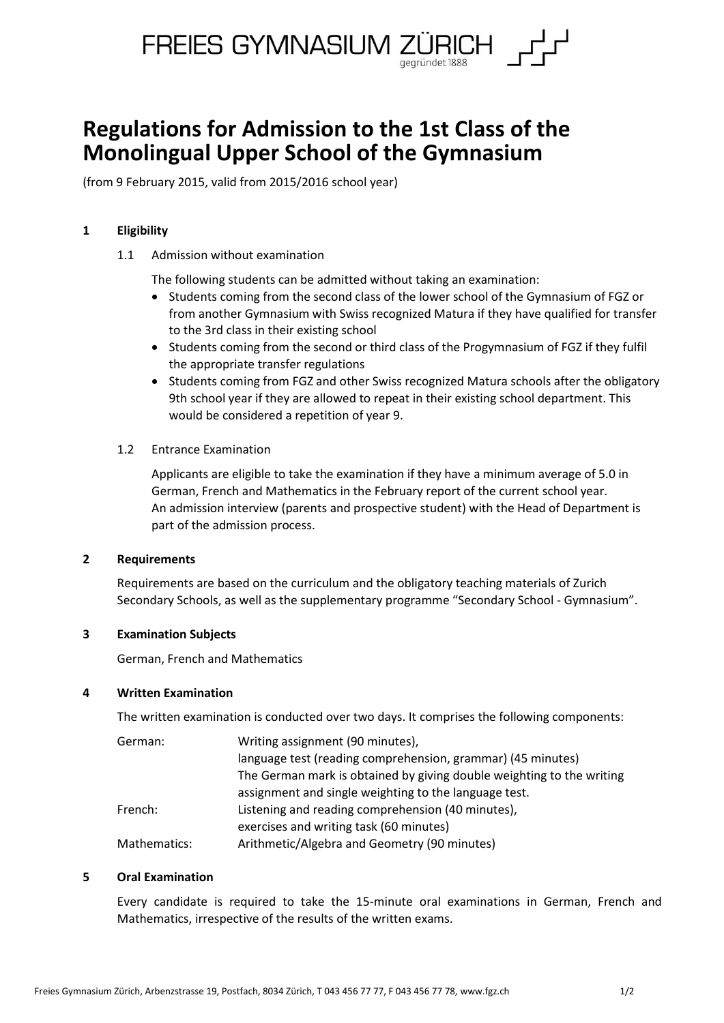

# **Regulations for Admission to the 1st Class of the Monolingual Upper School of the Gymnasium**

(from 9 February 2015, valid from 2015/2016 school year)

## **1 Eligibility**

1.1 Admission without examination

The following students can be admitted without taking an examination:

- Students coming from the second class of the lower school of the Gymnasium of FGZ or from another Gymnasium with Swiss recognized Matura if they have qualified for transfer to the 3rd class in their existing school
- Students coming from the second or third class of the Progymnasium of FGZ if they fulfil the appropriate transfer regulations
- Students coming from FGZ and other Swiss recognized Matura schools after the obligatory 9th school year if they are allowed to repeat in their existing school department. This would be considered a repetition of year 9.

#### 1.2 Entrance Examination

Applicants are eligible to take the examination if they have a minimum average of 5.0 in German, French and Mathematics in the February report of the current school year. An admission interview (parents and prospective student) with the Head of Department is part of the admission process.

## **2 Requirements**

Requirements are based on the curriculum and the obligatory teaching materials of Zurich Secondary Schools, as well as the supplementary programme "Secondary School - Gymnasium".

## **3 Examination Subjects**

German, French and Mathematics

## **4 Written Examination**

The written examination is conducted over two days. It comprises the following components:

| German:      | Writing assignment (90 minutes),                                      |
|--------------|-----------------------------------------------------------------------|
|              | language test (reading comprehension, grammar) (45 minutes)           |
|              | The German mark is obtained by giving double weighting to the writing |
|              | assignment and single weighting to the language test.                 |
| French:      | Listening and reading comprehension (40 minutes),                     |
|              | exercises and writing task (60 minutes)                               |
| Mathematics: | Arithmetic/Algebra and Geometry (90 minutes)                          |

## **5 Oral Examination**

Every candidate is required to take the 15-minute oral examinations in German, French and Mathematics, irrespective of the results of the written exams.